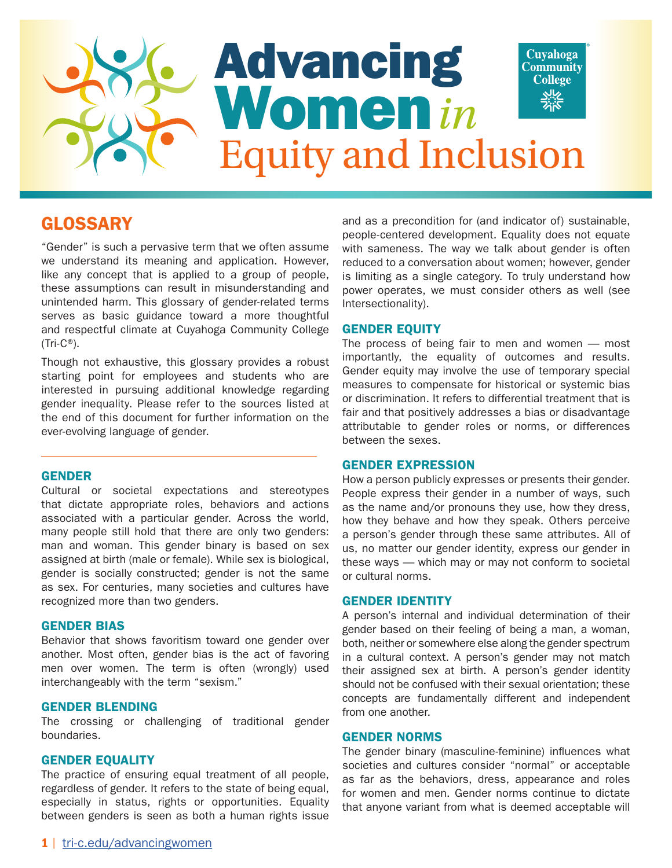

# GLOSSARY

"Gender" is such a pervasive term that we often assume we understand its meaning and application. However, like any concept that is applied to a group of people, these assumptions can result in misunderstanding and unintended harm. This glossary of gender-related terms serves as basic guidance toward a more thoughtful and respectful climate at Cuyahoga Community College (Tri-C®).

Though not exhaustive, this glossary provides a robust starting point for employees and students who are interested in pursuing additional knowledge regarding gender inequality. Please refer to the sources listed at the end of this document for further information on the ever-evolving language of gender.

# GENDER

Cultural or societal expectations and stereotypes that dictate appropriate roles, behaviors and actions associated with a particular gender. Across the world, many people still hold that there are only two genders: man and woman. This gender binary is based on sex assigned at birth (male or female). While sex is biological, gender is socially constructed; gender is not the same as sex. For centuries, many societies and cultures have recognized more than two genders.

# GENDER BIAS

Behavior that shows favoritism toward one gender over another. Most often, gender bias is the act of favoring men over women. The term is often (wrongly) used interchangeably with the term "sexism."

#### GENDER BLENDING

The crossing or challenging of traditional gender boundaries.

## GENDER EQUALITY

The practice of ensuring equal treatment of all people, regardless of gender. It refers to the state of being equal, especially in status, rights or opportunities. Equality between genders is seen as both a human rights issue

and as a precondition for (and indicator of) sustainable, people-centered development. Equality does not equate with sameness. The way we talk about gender is often reduced to a conversation about women; however, gender is limiting as a single category. To truly understand how power operates, we must consider others as well (see Intersectionality).

#### GENDER EQUITY

The process of being fair to men and women — most importantly, the equality of outcomes and results. Gender equity may involve the use of temporary special measures to compensate for historical or systemic bias or discrimination. It refers to differential treatment that is fair and that positively addresses a bias or disadvantage attributable to gender roles or norms, or differences between the sexes.

# GENDER EXPRESSION

How a person publicly expresses or presents their gender. People express their gender in a number of ways, such as the name and/or pronouns they use, how they dress, how they behave and how they speak. Others perceive a person's gender through these same attributes. All of us, no matter our gender identity, express our gender in these ways — which may or may not conform to societal or cultural norms.

#### GENDER IDENTITY

A person's internal and individual determination of their gender based on their feeling of being a man, a woman, both, neither or somewhere else along the gender spectrum in a cultural context. A person's gender may not match their assigned sex at birth. A person's gender identity should not be confused with their sexual orientation; these concepts are fundamentally different and independent from one another.

#### GENDER NORMS

The gender binary (masculine-feminine) influences what societies and cultures consider "normal" or acceptable as far as the behaviors, dress, appearance and roles for women and men. Gender norms continue to dictate that anyone variant from what is deemed acceptable will